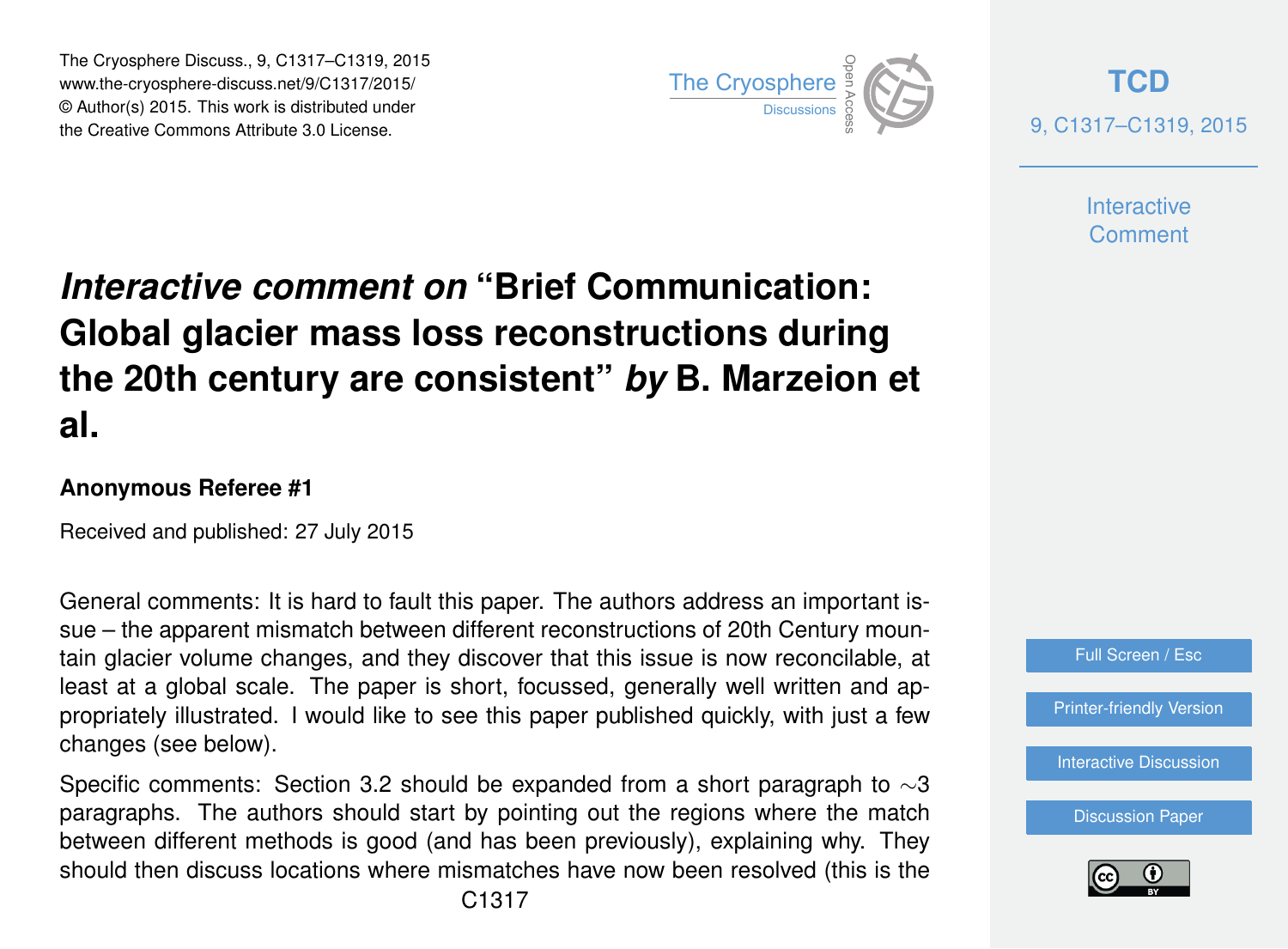The Cryosphere Discuss., 9, C1317–C1319, 2015 www.the-cryosphere-discuss.net/9/C1317/2015/ © Author(s) 2015. This work is distributed under The Cryosphere Discuss., 9, C1317–C1319, 2015<br>
www.the-cryosphere-discuss.net/9/C1317/2015/<br>
© Author(s) 2015. This work is distributed under<br>
the Creative Commons Attribute 3.0 License.



**[TCD](http://www.the-cryosphere-discuss.net)** 9, C1317–C1319, 2015

> **Interactive** Comment

## *Interactive comment on* **"Brief Communication: Global glacier mass loss reconstructions during the 20th century are consistent"** *by* **B. Marzeion et al.**

## **Anonymous Referee #1**

Received and published: 27 July 2015

General comments: It is hard to fault this paper. The authors address an important issue – the apparent mismatch between different reconstructions of 20th Century mountain glacier volume changes, and they discover that this issue is now reconcilable, at least at a global scale. The paper is short, focussed, generally well written and appropriately illustrated. I would like to see this paper published quickly, with just a few changes (see below).

Specific comments: Section 3.2 should be expanded from a short paragraph to  $\sim$ 3 paragraphs. The authors should start by pointing out the regions where the match between different methods is good (and has been previously), explaining why. They should then discuss locations where mismatches have now been resolved (this is the



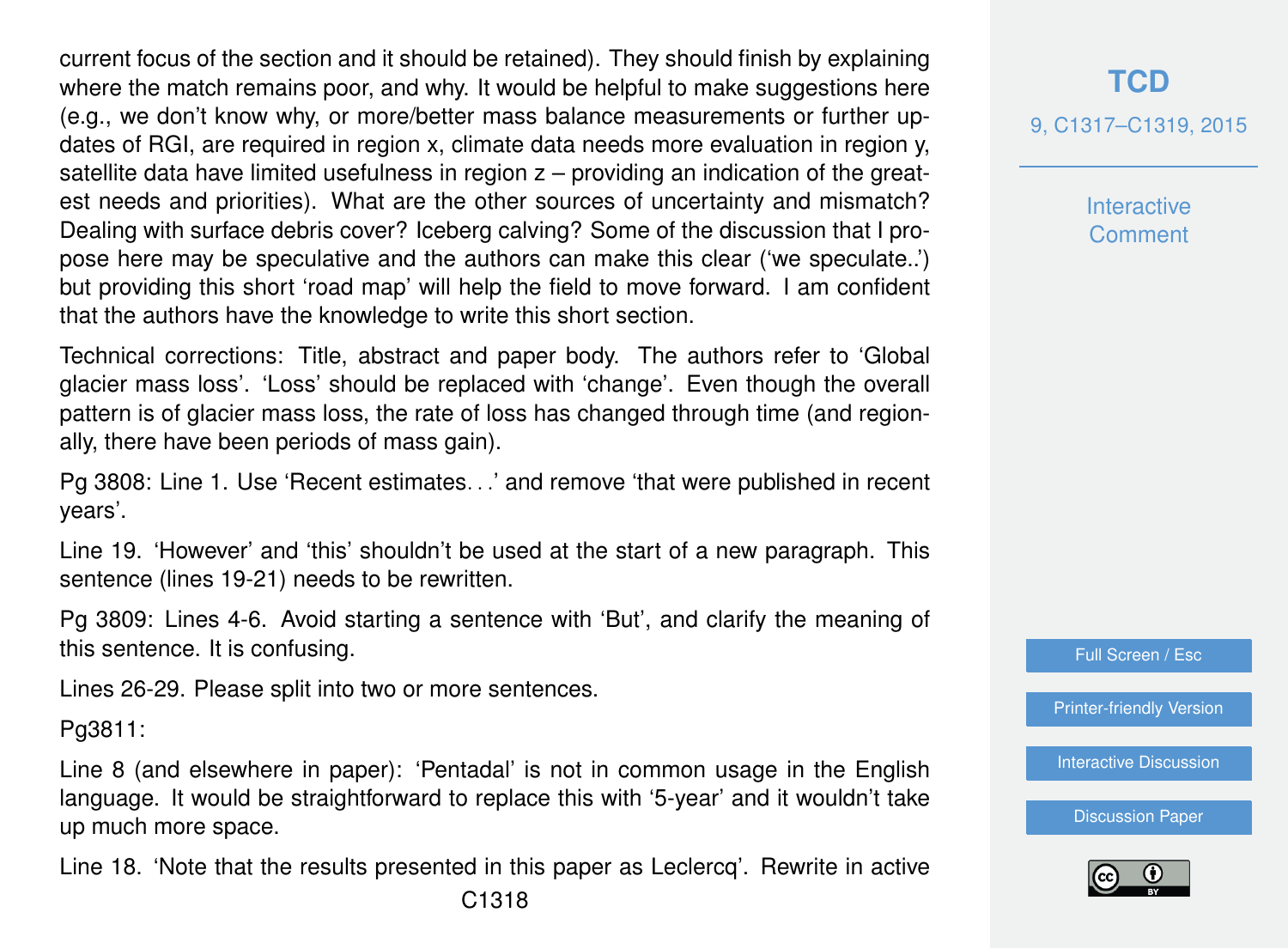current focus of the section and it should be retained). They should finish by explaining where the match remains poor, and why. It would be helpful to make suggestions here (e.g., we don't know why, or more/better mass balance measurements or further updates of RGI, are required in region x, climate data needs more evaluation in region y, satellite data have limited usefulness in region z – providing an indication of the greatest needs and priorities). What are the other sources of uncertainty and mismatch? Dealing with surface debris cover? Iceberg calving? Some of the discussion that I propose here may be speculative and the authors can make this clear ('we speculate..') but providing this short 'road map' will help the field to move forward. I am confident that the authors have the knowledge to write this short section.

Technical corrections: Title, abstract and paper body. The authors refer to 'Global glacier mass loss'. 'Loss' should be replaced with 'change'. Even though the overall pattern is of glacier mass loss, the rate of loss has changed through time (and regionally, there have been periods of mass gain).

Pg 3808: Line 1. Use 'Recent estimates. . .' and remove 'that were published in recent years'.

Line 19. 'However' and 'this' shouldn't be used at the start of a new paragraph. This sentence (lines 19-21) needs to be rewritten.

Pg 3809: Lines 4-6. Avoid starting a sentence with 'But', and clarify the meaning of this sentence. It is confusing.

Lines 26-29. Please split into two or more sentences.

Pg3811:

Line 8 (and elsewhere in paper): 'Pentadal' is not in common usage in the English language. It would be straightforward to replace this with '5-year' and it wouldn't take up much more space.

Line 18. 'Note that the results presented in this paper as Leclercq'. Rewrite in active

**Interactive** Comment



[Printer-friendly Version](http://www.the-cryosphere-discuss.net/9/C1317/2015/tcd-9-C1317-2015-print.pdf)

[Interactive Discussion](http://www.the-cryosphere-discuss.net/9/3807/2015/tcd-9-3807-2015-discussion.html)

[Discussion Paper](http://www.the-cryosphere-discuss.net/9/3807/2015/tcd-9-3807-2015.pdf)